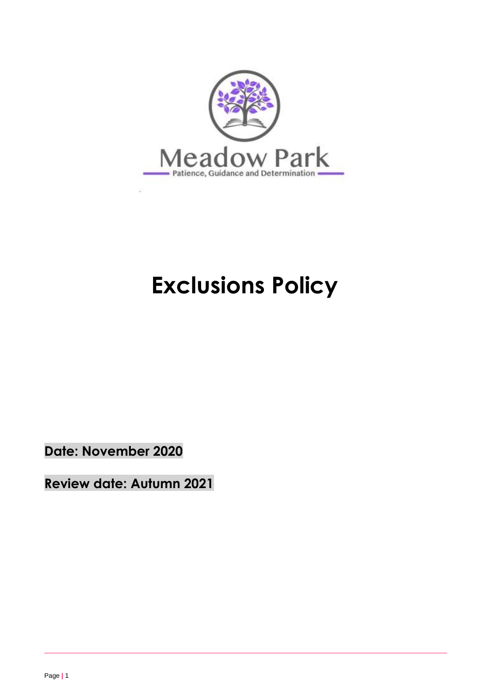

# **Exclusions Policy**

**Date: November 2020**

**Review date: Autumn 2021**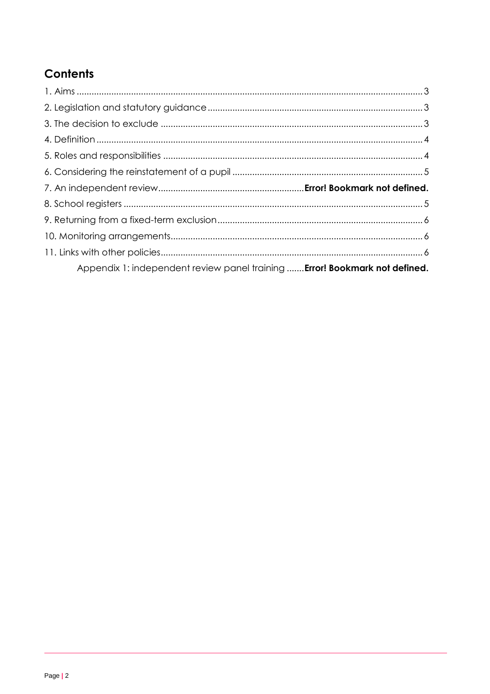## **Contents**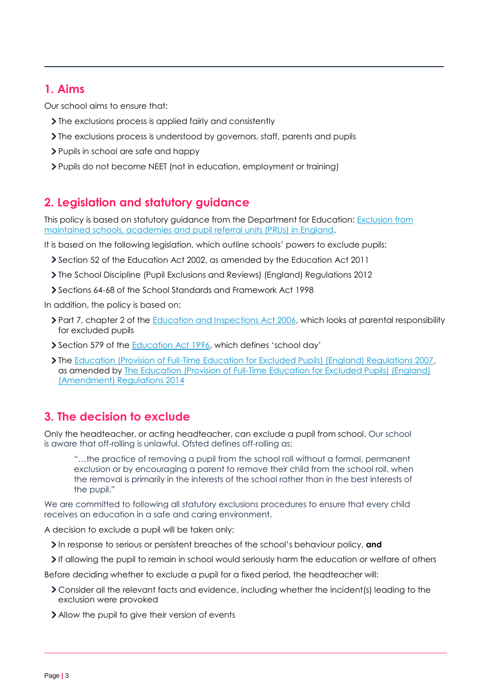## **1. Aims**

Our school aims to ensure that:

- > The exclusions process is applied fairly and consistently
- The exclusions process is understood by governors, staff, parents and pupils
- > Pupils in school are safe and happy
- Pupils do not become NEET (not in education, employment or training)

## **2. Legislation and statutory guidance**

This policy is based on statutory guidance from the Department for Education: [Exclusion from](https://www.gov.uk/government/publications/school-exclusion)  [maintained schools, academies and pupil referral units \(PRUs\) in England.](https://www.gov.uk/government/publications/school-exclusion)

It is based on the following legislation, which outline schools' powers to exclude pupils:

- Section 52 of the [Education Act 2002,](http://www.legislation.gov.uk/ukpga/2002/32/section/52) as amended by the [Education Act 2011](http://www.legislation.gov.uk/ukpga/2011/21/contents/enacted)
- [The School Discipline \(Pupil Exclusions and Reviews\) \(England\) Regulations 2012](http://www.legislation.gov.uk/uksi/2012/1033/made)
- Sections 64-68 of the [School Standards and Framework Act 1998](http://www.legislation.gov.uk/ukpga/1998/31)

In addition, the policy is based on:

- > Part 7, chapter 2 of the [Education and Inspections Act 2006,](http://www.legislation.gov.uk/ukpga/2006/40/part/7/chapter/2) which looks at parental responsibility for excluded pupils
- Section 579 of the **Education Act 1996**, which defines 'school day'
- The [Education \(Provision of Full-Time Education for Excluded Pupils\) \(England\) Regulations 2007,](http://www.legislation.gov.uk/uksi/2007/1870/contents/made) as amended by [The Education \(Provision of Full-Time Education for Excluded Pupils\) \(England\)](http://www.legislation.gov.uk/uksi/2014/3216/contents/made)  [\(Amendment\) Regulations 2014](http://www.legislation.gov.uk/uksi/2014/3216/contents/made)

## **3. The decision to exclude**

Only the headteacher, or acting headteacher, can exclude a pupil from school. Our school is aware that off-rolling is unlawful. Ofsted defines off-rolling as:

"…the practice of removing a pupil from the school roll without a formal, permanent exclusion or by encouraging a parent to remove their child from the school roll, when the removal is primarily in the interests of the school rather than in the best interests of the pupil."

We are committed to following all statutory exclusions procedures to ensure that every child receives an education in a safe and caring environment.

A decision to exclude a pupil will be taken only:

- In response to serious or persistent breaches of the school's behaviour policy, and
- If allowing the pupil to remain in school would seriously harm the education or welfare of others

Before deciding whether to exclude a pupil for a fixed period, the headteacher will:

- Consider all the relevant facts and evidence, including whether the incident(s) leading to the exclusion were provoked
- Allow the pupil to give their version of events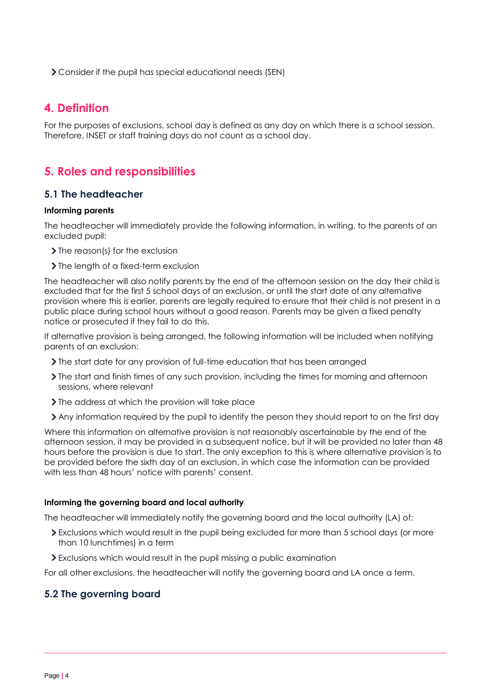Consider if the pupil has special educational needs (SEN)

## **4. Definition**

For the purposes of exclusions, school day is defined as any day on which there is a school session. Therefore, INSET or staff training days do not count as a school day.

## **5. Roles and responsibilities**

#### **5.1 The headteacher**

#### **Informing parents**

The headteacher will immediately provide the following information, in writing, to the parents of an excluded pupil:

- > The reason(s) for the exclusion
- > The length of a fixed-term exclusion

The headteacher will also notify parents by the end of the afternoon session on the day their child is excluded that for the first 5 school days of an exclusion, or until the start date of any alternative provision where this is earlier, parents are legally required to ensure that their child is not present in a public place during school hours without a good reason. Parents may be given a fixed penalty notice or prosecuted if they fail to do this.

If alternative provision is being arranged, the following information will be included when notifying parents of an exclusion:

- The start date for any provision of full-time education that has been arranged
- The start and finish times of any such provision, including the times for morning and afternoon sessions, where relevant
- If the address at which the provision will take place
- Any information required by the pupil to identify the person they should report to on the first day

Where this information on alternative provision is not reasonably ascertainable by the end of the afternoon session, it may be provided in a subsequent notice, but it will be provided no later than 48 hours before the provision is due to start. The only exception to this is where alternative provision is to be provided before the sixth day of an exclusion, in which case the information can be provided with less than 48 hours' notice with parents' consent.

#### **Informing the governing board and local authority**

The headteacher will immediately notify the governing board and the local authority (LA) of:

- Exclusions which would result in the pupil being excluded for more than 5 school days (or more than 10 lunchtimes) in a term
- Exclusions which would result in the pupil missing a public examination

For all other exclusions, the headteacher will notify the governing board and LA once a term.

#### **5.2 The governing board**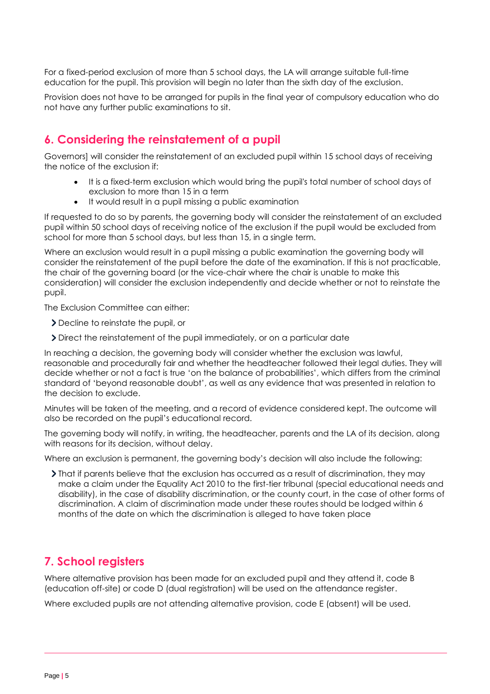For a fixed-period exclusion of more than 5 school days, the LA will arrange suitable full-time education for the pupil. This provision will begin no later than the sixth day of the exclusion.

Provision does not have to be arranged for pupils in the final year of compulsory education who do not have any further public examinations to sit.

## **6. Considering the reinstatement of a pupil**

Governors] will consider the reinstatement of an excluded pupil within 15 school days of receiving the notice of the exclusion if:

- It is a fixed-term exclusion which would bring the pupil's total number of school days of exclusion to more than 15 in a term
- It would result in a pupil missing a public examination

If requested to do so by parents, the governing body will consider the reinstatement of an excluded pupil within 50 school days of receiving notice of the exclusion if the pupil would be excluded from school for more than 5 school days, but less than 15, in a single term.

Where an exclusion would result in a pupil missing a public examination the governing body will consider the reinstatement of the pupil before the date of the examination. If this is not practicable, the chair of the governing board (or the vice-chair where the chair is unable to make this consideration) will consider the exclusion independently and decide whether or not to reinstate the pupil.

The Exclusion Committee can either:

- Decline to reinstate the pupil, or
- Direct the reinstatement of the pupil immediately, or on a particular date

In reaching a decision, the governing body will consider whether the exclusion was lawful, reasonable and procedurally fair and whether the headteacher followed their legal duties. They will decide whether or not a fact is true 'on the balance of probabilities', which differs from the criminal standard of 'beyond reasonable doubt', as well as any evidence that was presented in relation to the decision to exclude.

Minutes will be taken of the meeting, and a record of evidence considered kept. The outcome will also be recorded on the pupil's educational record.

The governing body will notify, in writing, the headteacher, parents and the LA of its decision, along with reasons for its decision, without delay.

Where an exclusion is permanent, the governing body's decision will also include the following:

That if parents believe that the exclusion has occurred as a result of discrimination, they may make a claim under the Equality Act 2010 to the first-tier tribunal (special educational needs and disability), in the case of disability discrimination, or the county court, in the case of other forms of discrimination. A claim of discrimination made under these routes should be lodged within 6 months of the date on which the discrimination is alleged to have taken place

## **7. School registers**

Where alternative provision has been made for an excluded pupil and they attend it, code B (education off-site) or code D (dual registration) will be used on the attendance register.

Where excluded pupils are not attending alternative provision, code E (absent) will be used.